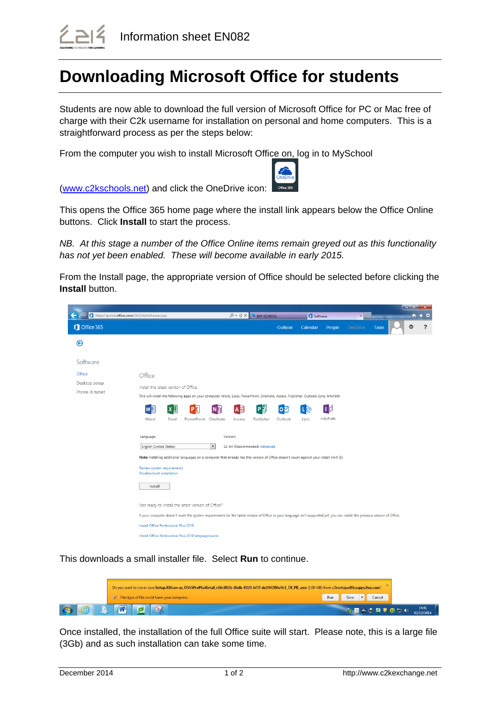

## **Downloading Microsoft Office for students**

Students are now able to download the full version of Microsoft Office for PC or Mac free of charge with their C2k username for installation on personal and home computers. This is a straightforward process as per the steps below:

From the computer you wish to install Microsoft Office on, log in to MySchool



[\(www.c2kschools.net\)](http://www.c2kschools.net/) and click the OneDrive icon:

This opens the Office 365 home page where the install link appears below the Office Online buttons. Click **Install** to start the process.

*NB. At this stage a number of the Office Online items remain greyed out as this functionality has not yet been enabled. These will become available in early 2015.*

From the Install page, the appropriate version of Office should be selected before clicking the **Install** button.

|                                               |                                                         |                                                                                                                                           |                          |          |                               |           |          |          |          |                                                                                                                                                                              | — 1 o 1 | $\mathbf{x}$                    |
|-----------------------------------------------|---------------------------------------------------------|-------------------------------------------------------------------------------------------------------------------------------------------|--------------------------|----------|-------------------------------|-----------|----------|----------|----------|------------------------------------------------------------------------------------------------------------------------------------------------------------------------------|---------|---------------------------------|
| https://portal.office.com/OLS/MySoftware.aspx |                                                         |                                                                                                                                           |                          |          | $Q \cdot C \times$ MY-SCHOOL  |           |          | Software | $\times$ |                                                                                                                                                                              |         | $\overline{n}$ $\star$ $\alpha$ |
| Office 365                                    |                                                         |                                                                                                                                           |                          |          |                               | Outlook   | Calendar | People   | OneDrive | <b>Tasks</b>                                                                                                                                                                 | Ø.      | $\overline{\mathbf{?}}$         |
| ⊛                                             |                                                         |                                                                                                                                           |                          |          |                               |           |          |          |          |                                                                                                                                                                              |         |                                 |
| Software                                      |                                                         |                                                                                                                                           |                          |          |                               |           |          |          |          |                                                                                                                                                                              |         |                                 |
| Office                                        | Office                                                  |                                                                                                                                           |                          |          |                               |           |          |          |          |                                                                                                                                                                              |         |                                 |
| Desktop setup                                 | Install the latest version of Office                    |                                                                                                                                           |                          |          |                               |           |          |          |          |                                                                                                                                                                              |         |                                 |
| Phone & tablet                                |                                                         | This will install the following apps on your computer: Word, Excel, PowerPoint, OneNote, Access, Publisher, Outlook, Lync, InfoPath.      |                          |          |                               |           |          |          |          |                                                                                                                                                                              |         |                                 |
|                                               | w∃                                                      | x ≣                                                                                                                                       |                          | Α≣       | P]                            | $\bullet$ |          | ð        |          |                                                                                                                                                                              |         |                                 |
|                                               | Word                                                    | PowerPoint<br>Excel                                                                                                                       | OneNote                  | Access   | Publisher                     | Outlook   | Lync     | InfoPath |          |                                                                                                                                                                              |         |                                 |
|                                               |                                                         |                                                                                                                                           |                          |          |                               |           |          |          |          |                                                                                                                                                                              |         |                                 |
|                                               | Language:                                               |                                                                                                                                           |                          | Version: |                               |           |          |          |          |                                                                                                                                                                              |         |                                 |
|                                               | <b>English (United States)</b>                          |                                                                                                                                           | $\overline{\phantom{a}}$ |          | 32-bit (Recommended) Advanced |           |          |          |          |                                                                                                                                                                              |         |                                 |
|                                               |                                                         | Note: Installing additional languages on a computer that already has this version of Office doesn't count against your install limit (5). |                          |          |                               |           |          |          |          |                                                                                                                                                                              |         |                                 |
|                                               | Review system requirements<br>Troubleshoot installation |                                                                                                                                           |                          |          |                               |           |          |          |          |                                                                                                                                                                              |         |                                 |
|                                               | Install                                                 |                                                                                                                                           |                          |          |                               |           |          |          |          |                                                                                                                                                                              |         |                                 |
|                                               |                                                         |                                                                                                                                           |                          |          |                               |           |          |          |          |                                                                                                                                                                              |         |                                 |
|                                               |                                                         | Not ready to install the latest version of Office?                                                                                        |                          |          |                               |           |          |          |          |                                                                                                                                                                              |         |                                 |
|                                               |                                                         |                                                                                                                                           |                          |          |                               |           |          |          |          | If your computer doesn't meet the system requirements for the latest version of Office or your language isn't supported yet, you can install the previous version of Office. |         |                                 |
|                                               | Install Office Professional Plus 2010                   |                                                                                                                                           |                          |          |                               |           |          |          |          |                                                                                                                                                                              |         |                                 |
|                                               |                                                         | Install Office Professional Plus 2010 language packs                                                                                      |                          |          |                               |           |          |          |          |                                                                                                                                                                              |         |                                 |

This downloads a small installer file. Select **Run** to continue.

|         |   | Do you want to run or save Setup.X86.en-us_O365ProPlusRetail_c66c002b-8bdb-4320-bf7f-de196206e9c1_TX_PR_exe (1.00 MB) from c2rsetup.officeapps.live.com? |     |      |                  |                     |
|---------|---|----------------------------------------------------------------------------------------------------------------------------------------------------------|-----|------|------------------|---------------------|
|         |   | (4) This type of file could harm your computer.                                                                                                          | Run | Save | Cancel           |                     |
| E.<br>e | n |                                                                                                                                                          |     |      | <b>MOASQUODO</b> | 14:41<br>02/12/2014 |

Once installed, the installation of the full Office suite will start. Please note, this is a large file (3Gb) and as such installation can take some time.